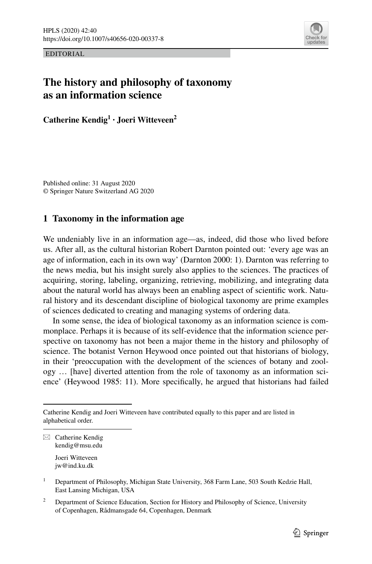

EDITORIAL

# **The history and philosophy of taxonomy as an information science**

**Catherine Kendig<sup>1</sup> · Joeri Witteveen<sup>2</sup>**

Published online: 31 August 2020 © Springer Nature Switzerland AG 2020

# **1 Taxonomy in the information age**

We undeniably live in an information age—as, indeed, did those who lived before us. After all, as the cultural historian Robert Darnton pointed out: 'every age was an age of information, each in its own way' (Darnton 2000: 1). Darnton was referring to the news media, but his insight surely also applies to the sciences. The practices of acquiring, storing, labeling, organizing, retrieving, mobilizing, and integrating data about the natural world has always been an enabling aspect of scientifc work. Natural history and its descendant discipline of biological taxonomy are prime examples of sciences dedicated to creating and managing systems of ordering data.

In some sense, the idea of biological taxonomy as an information science is commonplace. Perhaps it is because of its self-evidence that the information science perspective on taxonomy has not been a major theme in the history and philosophy of science. The botanist Vernon Heywood once pointed out that historians of biology, in their 'preoccupation with the development of the sciences of botany and zoology … [have] diverted attention from the role of taxonomy as an information science' (Heywood 1985: 11). More specifcally, he argued that historians had failed

 $\boxtimes$  Catherine Kendig kendig@msu.edu Joeri Witteveen jw@ind.ku.dk

Catherine Kendig and Joeri Witteveen have contributed equally to this paper and are listed in alphabetical order.

<sup>&</sup>lt;sup>1</sup> Department of Philosophy, Michigan State University, 368 Farm Lane, 503 South Kedzie Hall, East Lansing Michigan, USA

<sup>&</sup>lt;sup>2</sup> Department of Science Education, Section for History and Philosophy of Science, University of Copenhagen, Rådmansgade 64, Copenhagen, Denmark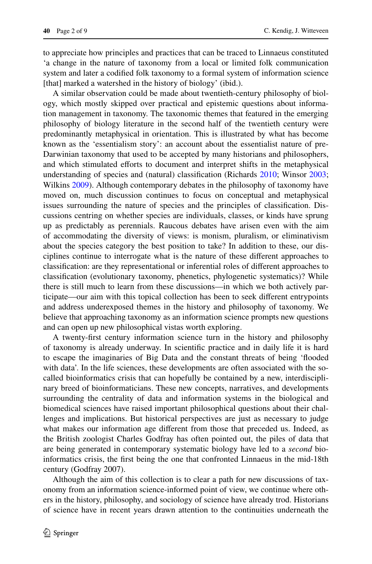to appreciate how principles and practices that can be traced to Linnaeus constituted 'a change in the nature of taxonomy from a local or limited folk communication system and later a codifed folk taxonomy to a formal system of information science [that] marked a watershed in the history of biology' (ibid.).

A similar observation could be made about twentieth-century philosophy of biology, which mostly skipped over practical and epistemic questions about information management in taxonomy. The taxonomic themes that featured in the emerging philosophy of biology literature in the second half of the twentieth century were predominantly metaphysical in orientation. This is illustrated by what has become known as the 'essentialism story': an account about the essentialist nature of pre-Darwinian taxonomy that used to be accepted by many historians and philosophers, and which stimulated efforts to document and interpret shifts in the metaphysical understanding of species and (natural) classifcation (Richards [2010](#page-8-0); Winsor [2003;](#page-8-1) Wilkins [2009](#page-8-2)). Although contemporary debates in the philosophy of taxonomy have moved on, much discussion continues to focus on conceptual and metaphysical issues surrounding the nature of species and the principles of classifcation. Discussions centring on whether species are individuals, classes, or kinds have sprung up as predictably as perennials. Raucous debates have arisen even with the aim of accommodating the diversity of views: is monism, pluralism, or eliminativism about the species category the best position to take? In addition to these, our disciplines continue to interrogate what is the nature of these diferent approaches to classifcation: are they representational or inferential roles of diferent approaches to classifcation (evolutionary taxonomy, phenetics, phylogenetic systematics)? While there is still much to learn from these discussions—in which we both actively participate—our aim with this topical collection has been to seek diferent entrypoints and address underexposed themes in the history and philosophy of taxonomy. We believe that approaching taxonomy as an information science prompts new questions and can open up new philosophical vistas worth exploring.

A twenty-frst century information science turn in the history and philosophy of taxonomy is already underway. In scientifc practice and in daily life it is hard to escape the imaginaries of Big Data and the constant threats of being 'fooded with data'. In the life sciences, these developments are often associated with the socalled bioinformatics crisis that can hopefully be contained by a new, interdisciplinary breed of bioinformaticians. These new concepts, narratives, and developments surrounding the centrality of data and information systems in the biological and biomedical sciences have raised important philosophical questions about their challenges and implications. But historical perspectives are just as necessary to judge what makes our information age diferent from those that preceded us. Indeed, as the British zoologist Charles Godfray has often pointed out, the piles of data that are being generated in contemporary systematic biology have led to a *second* bioinformatics crisis, the frst being the one that confronted Linnaeus in the mid-18th century (Godfray 2007).

Although the aim of this collection is to clear a path for new discussions of taxonomy from an information science-informed point of view, we continue where others in the history, philosophy, and sociology of science have already trod. Historians of science have in recent years drawn attention to the continuities underneath the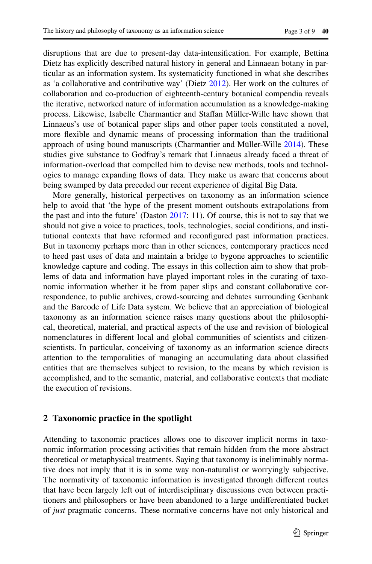disruptions that are due to present-day data-intensifcation. For example, Bettina Dietz has explicitly described natural history in general and Linnaean botany in particular as an information system. Its systematicity functioned in what she describes as 'a collaborative and contributive way' (Dietz [2012](#page-7-0)). Her work on the cultures of collaboration and co-production of eighteenth-century botanical compendia reveals the iterative, networked nature of information accumulation as a knowledge-making process. Likewise, Isabelle Charmantier and Stafan Müller-Wille have shown that Linnaeus's use of botanical paper slips and other paper tools constituted a novel, more fexible and dynamic means of processing information than the traditional approach of using bound manuscripts (Charmantier and Müller-Wille [2014\)](#page-7-1). These studies give substance to Godfray's remark that Linnaeus already faced a threat of information-overload that compelled him to devise new methods, tools and technologies to manage expanding fows of data. They make us aware that concerns about being swamped by data preceded our recent experience of digital Big Data.

More generally, historical perpectives on taxonomy as an information science help to avoid that 'the hype of the present moment outshouts extrapolations from the past and into the future' (Daston [2017](#page-7-2): 11). Of course, this is not to say that we should not give a voice to practices, tools, technologies, social conditions, and institutional contexts that have reformed and reconfgured past information practices. But in taxonomy perhaps more than in other sciences, contemporary practices need to heed past uses of data and maintain a bridge to bygone approaches to scientifc knowledge capture and coding. The essays in this collection aim to show that problems of data and information have played important roles in the curating of taxonomic information whether it be from paper slips and constant collaborative correspondence, to public archives, crowd-sourcing and debates surrounding Genbank and the Barcode of Life Data system. We believe that an appreciation of biological taxonomy as an information science raises many questions about the philosophical, theoretical, material, and practical aspects of the use and revision of biological nomenclatures in diferent local and global communities of scientists and citizenscientists. In particular, conceiving of taxonomy as an information science directs attention to the temporalities of managing an accumulating data about classifed entities that are themselves subject to revision, to the means by which revision is accomplished, and to the semantic, material, and collaborative contexts that mediate the execution of revisions.

#### **2 Taxonomic practice in the spotlight**

Attending to taxonomic practices allows one to discover implicit norms in taxonomic information processing activities that remain hidden from the more abstract theoretical or metaphysical treatments. Saying that taxonomy is ineliminably normative does not imply that it is in some way non-naturalist or worryingly subjective. The normativity of taxonomic information is investigated through diferent routes that have been largely left out of interdisciplinary discussions even between practitioners and philosophers or have been abandoned to a large undiferentiated bucket of *just* pragmatic concerns. These normative concerns have not only historical and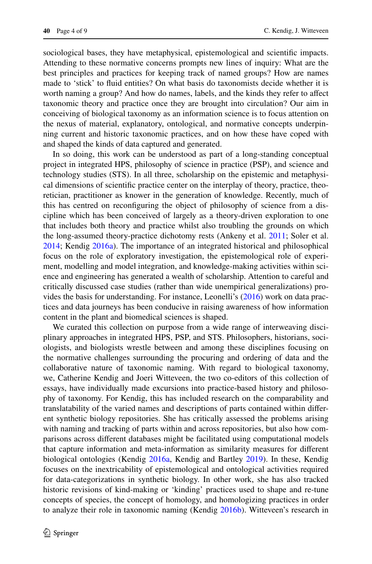sociological bases, they have metaphysical, epistemological and scientifc impacts. Attending to these normative concerns prompts new lines of inquiry: What are the best principles and practices for keeping track of named groups? How are names made to 'stick' to fuid entities? On what basis do taxonomists decide whether it is worth naming a group? And how do names, labels, and the kinds they refer to affect taxonomic theory and practice once they are brought into circulation? Our aim in conceiving of biological taxonomy as an information science is to focus attention on the nexus of material, explanatory, ontological, and normative concepts underpinning current and historic taxonomic practices, and on how these have coped with and shaped the kinds of data captured and generated.

In so doing, this work can be understood as part of a long-standing conceptual project in integrated HPS, philosophy of science in practice (PSP), and science and technology studies (STS). In all three, scholarship on the epistemic and metaphysical dimensions of scientifc practice center on the interplay of theory, practice, theoretician, practitioner as knower in the generation of knowledge. Recently, much of this has centred on reconfguring the object of philosophy of science from a discipline which has been conceived of largely as a theory-driven exploration to one that includes both theory and practice whilst also troubling the grounds on which the long-assumed theory-practice dichotomy rests (Ankeny et al. [2011;](#page-7-3) Soler et al. [2014](#page-8-3); Kendig [2016a\)](#page-7-4). The importance of an integrated historical and philosophical focus on the role of exploratory investigation, the epistemological role of experiment, modelling and model integration, and knowledge-making activities within science and engineering has generated a wealth of scholarship. Attention to careful and critically discussed case studies (rather than wide unempirical generalizations) provides the basis for understanding. For instance, Leonelli's ([2016\)](#page-8-4) work on data practices and data journeys has been conducive in raising awareness of how information content in the plant and biomedical sciences is shaped.

We curated this collection on purpose from a wide range of interweaving disciplinary approaches in integrated HPS, PSP, and STS. Philosophers, historians, sociologists, and biologists wrestle between and among these disciplines focusing on the normative challenges surrounding the procuring and ordering of data and the collaborative nature of taxonomic naming. With regard to biological taxonomy, we, Catherine Kendig and Joeri Witteveen, the two co-editors of this collection of essays, have individually made excursions into practice-based history and philosophy of taxonomy. For Kendig, this has included research on the comparability and translatability of the varied names and descriptions of parts contained within diferent synthetic biology repositories. She has critically assessed the problems arising with naming and tracking of parts within and across repositories, but also how comparisons across diferent databases might be facilitated using computational models that capture information and meta-information as similarity measures for diferent biological ontologies (Kendig [2016a,](#page-7-4) Kendig and Bartley [2019\)](#page-8-5). In these, Kendig focuses on the inextricability of epistemological and ontological activities required for data-categorizations in synthetic biology. In other work, she has also tracked historic revisions of kind-making or 'kinding' practices used to shape and re-tune concepts of species, the concept of homology, and homologizing practices in order to analyze their role in taxonomic naming (Kendig [2016b](#page-7-5)). Witteveen's research in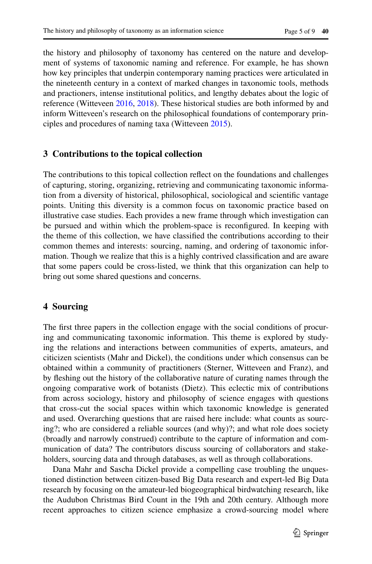the history and philosophy of taxonomy has centered on the nature and development of systems of taxonomic naming and reference. For example, he has shown how key principles that underpin contemporary naming practices were articulated in the nineteenth century in a context of marked changes in taxonomic tools, methods and practioners, intense institutional politics, and lengthy debates about the logic of reference (Witteveen [2016,](#page-8-6) [2018](#page-8-7)). These historical studies are both informed by and inform Witteveen's research on the philosophical foundations of contemporary principles and procedures of naming taxa (Witteveen [2015\)](#page-8-8).

# **3 Contributions to the topical collection**

The contributions to this topical collection refect on the foundations and challenges of capturing, storing, organizing, retrieving and communicating taxonomic information from a diversity of historical, philosophical, sociological and scientifc vantage points. Uniting this diversity is a common focus on taxonomic practice based on illustrative case studies. Each provides a new frame through which investigation can be pursued and within which the problem-space is reconfgured. In keeping with the theme of this collection, we have classifed the contributions according to their common themes and interests: sourcing, naming, and ordering of taxonomic information. Though we realize that this is a highly contrived classifcation and are aware that some papers could be cross-listed, we think that this organization can help to bring out some shared questions and concerns.

# **4 Sourcing**

The frst three papers in the collection engage with the social conditions of procuring and communicating taxonomic information. This theme is explored by studying the relations and interactions between communities of experts, amateurs, and citicizen scientists (Mahr and Dickel), the conditions under which consensus can be obtained within a community of practitioners (Sterner, Witteveen and Franz), and by feshing out the history of the collaborative nature of curating names through the ongoing comparative work of botanists (Dietz). This eclectic mix of contributions from across sociology, history and philosophy of science engages with questions that cross-cut the social spaces within which taxonomic knowledge is generated and used. Overarching questions that are raised here include: what counts as sourcing?; who are considered a reliable sources (and why)?; and what role does society (broadly and narrowly construed) contribute to the capture of information and communication of data? The contributors discuss sourcing of collaborators and stakeholders, sourcing data and through databases, as well as through collaborations.

Dana Mahr and Sascha Dickel provide a compelling case troubling the unquestioned distinction between citizen-based Big Data research and expert-led Big Data research by focusing on the amateur-led biogeographical birdwatching research, like the Audubon Christmas Bird Count in the 19th and 20th century. Although more recent approaches to citizen science emphasize a crowd-sourcing model where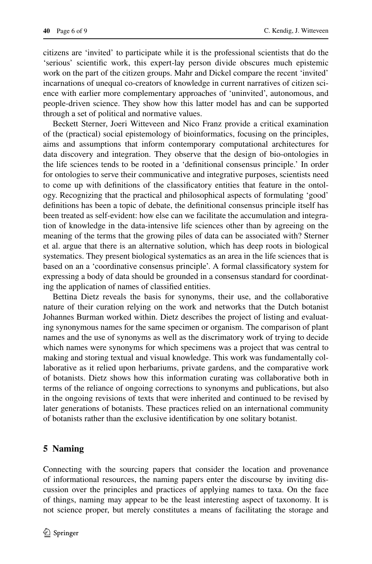citizens are 'invited' to participate while it is the professional scientists that do the 'serious' scientifc work, this expert-lay person divide obscures much epistemic work on the part of the citizen groups. Mahr and Dickel compare the recent 'invited' incarnations of unequal co-creators of knowledge in current narratives of citizen science with earlier more complementary approaches of 'uninvited', autonomous, and people-driven science. They show how this latter model has and can be supported through a set of political and normative values.

Beckett Sterner, Joeri Witteveen and Nico Franz provide a critical examination of the (practical) social epistemology of bioinformatics, focusing on the principles, aims and assumptions that inform contemporary computational architectures for data discovery and integration. They observe that the design of bio-ontologies in the life sciences tends to be rooted in a 'defnitional consensus principle.' In order for ontologies to serve their communicative and integrative purposes, scientists need to come up with defnitions of the classifcatory entities that feature in the ontology. Recognizing that the practical and philosophical aspects of formulating 'good' defnitions has been a topic of debate, the defnitional consensus principle itself has been treated as self-evident: how else can we facilitate the accumulation and integration of knowledge in the data-intensive life sciences other than by agreeing on the meaning of the terms that the growing piles of data can be associated with? Sterner et al. argue that there is an alternative solution, which has deep roots in biological systematics. They present biological systematics as an area in the life sciences that is based on an a 'coordinative consensus principle'. A formal classifcatory system for expressing a body of data should be grounded in a consensus standard for coordinating the application of names of classifed entities.

Bettina Dietz reveals the basis for synonyms, their use, and the collaborative nature of their curation relying on the work and networks that the Dutch botanist Johannes Burman worked within. Dietz describes the project of listing and evaluating synonymous names for the same specimen or organism. The comparison of plant names and the use of synonyms as well as the discrimatory work of trying to decide which names were synonyms for which specimens was a project that was central to making and storing textual and visual knowledge. This work was fundamentally collaborative as it relied upon herbariums, private gardens, and the comparative work of botanists. Dietz shows how this information curating was collaborative both in terms of the reliance of ongoing corrections to synonyms and publications, but also in the ongoing revisions of texts that were inherited and continued to be revised by later generations of botanists. These practices relied on an international community of botanists rather than the exclusive identifcation by one solitary botanist.

## **5 Naming**

Connecting with the sourcing papers that consider the location and provenance of informational resources, the naming papers enter the discourse by inviting discussion over the principles and practices of applying names to taxa. On the face of things, naming may appear to be the least interesting aspect of taxonomy. It is not science proper, but merely constitutes a means of facilitating the storage and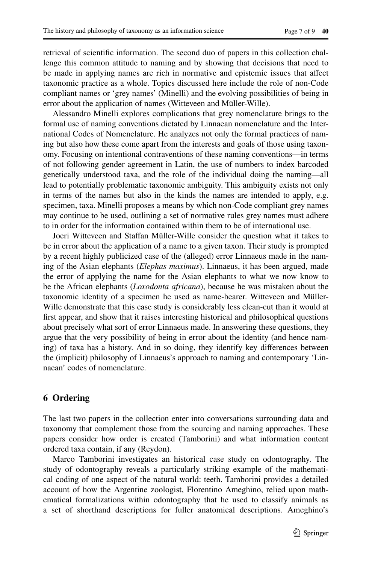retrieval of scientifc information. The second duo of papers in this collection challenge this common attitude to naming and by showing that decisions that need to be made in applying names are rich in normative and epistemic issues that afect taxonomic practice as a whole. Topics discussed here include the role of non-Code compliant names or 'grey names' (Minelli) and the evolving possibilities of being in error about the application of names (Witteveen and Müller-Wille).

Alessandro Minelli explores complications that grey nomenclature brings to the formal use of naming conventions dictated by Linnaean nomenclature and the International Codes of Nomenclature. He analyzes not only the formal practices of naming but also how these come apart from the interests and goals of those using taxonomy. Focusing on intentional contraventions of these naming conventions—in terms of not following gender agreement in Latin, the use of numbers to index barcoded genetically understood taxa, and the role of the individual doing the naming—all lead to potentially problematic taxonomic ambiguity. This ambiguity exists not only in terms of the names but also in the kinds the names are intended to apply, e.g. specimen, taxa. Minelli proposes a means by which non-Code compliant grey names may continue to be used, outlining a set of normative rules grey names must adhere to in order for the information contained within them to be of international use.

Joeri Witteveen and Stafan Müller-Wille consider the question what it takes to be in error about the application of a name to a given taxon. Their study is prompted by a recent highly publicized case of the (alleged) error Linnaeus made in the naming of the Asian elephants (*Elephas maximus*). Linnaeus, it has been argued, made the error of applying the name for the Asian elephants to what we now know to be the African elephants (*Loxodonta africana*), because he was mistaken about the taxonomic identity of a specimen he used as name-bearer. Witteveen and Müller-Wille demonstrate that this case study is considerably less clean-cut than it would at frst appear, and show that it raises interesting historical and philosophical questions about precisely what sort of error Linnaeus made. In answering these questions, they argue that the very possibility of being in error about the identity (and hence naming) of taxa has a history. And in so doing, they identify key diferences between the (implicit) philosophy of Linnaeus's approach to naming and contemporary 'Linnaean' codes of nomenclature.

## **6 Ordering**

The last two papers in the collection enter into conversations surrounding data and taxonomy that complement those from the sourcing and naming approaches. These papers consider how order is created (Tamborini) and what information content ordered taxa contain, if any (Reydon).

Marco Tamborini investigates an historical case study on odontography. The study of odontography reveals a particularly striking example of the mathematical coding of one aspect of the natural world: teeth. Tamborini provides a detailed account of how the Argentine zoologist, Florentino Ameghino, relied upon mathematical formalizations within odontography that he used to classify animals as a set of shorthand descriptions for fuller anatomical descriptions. Ameghino's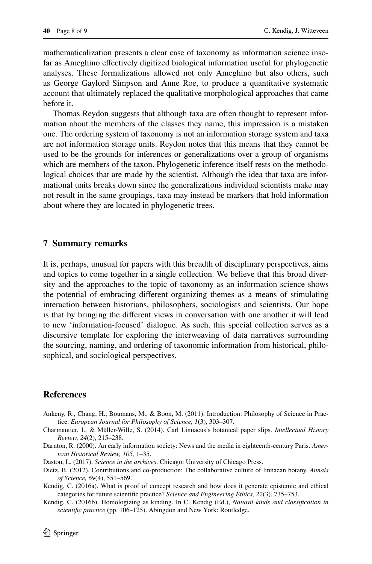mathematicalization presents a clear case of taxonomy as information science insofar as Ameghino efectively digitized biological information useful for phylogenetic analyses. These formalizations allowed not only Ameghino but also others, such as George Gaylord Simpson and Anne Roe, to produce a quantitative systematic account that ultimately replaced the qualitative morphological approaches that came before it.

Thomas Reydon suggests that although taxa are often thought to represent information about the members of the classes they name, this impression is a mistaken one. The ordering system of taxonomy is not an information storage system and taxa are not information storage units. Reydon notes that this means that they cannot be used to be the grounds for inferences or generalizations over a group of organisms which are members of the taxon. Phylogenetic inference itself rests on the methodological choices that are made by the scientist. Although the idea that taxa are informational units breaks down since the generalizations individual scientists make may not result in the same groupings, taxa may instead be markers that hold information about where they are located in phylogenetic trees.

#### **7 Summary remarks**

It is, perhaps, unusual for papers with this breadth of disciplinary perspectives, aims and topics to come together in a single collection. We believe that this broad diversity and the approaches to the topic of taxonomy as an information science shows the potential of embracing diferent organizing themes as a means of stimulating interaction between historians, philosophers, sociologists and scientists. Our hope is that by bringing the diferent views in conversation with one another it will lead to new 'information-focused' dialogue. As such, this special collection serves as a discursive template for exploring the interweaving of data narratives surrounding the sourcing, naming, and ordering of taxonomic information from historical, philosophical, and sociological perspectives.

# **References**

- <span id="page-7-3"></span>Ankeny, R., Chang, H., Boumans, M., & Boon, M. (2011). Introduction: Philosophy of Science in Practice. *European Journal for Philosophy of Science, 1*(3), 303–307.
- <span id="page-7-1"></span>Charmantier, I., & Müller-Wille, S. (2014). Carl Linnaeus's botanical paper slips. *Intellectual History Review, 24*(2), 215–238.
- Darnton, R. (2000). An early information society: News and the media in eighteenth-century Paris. *American Historical Review, 105,* 1–35.
- <span id="page-7-2"></span>Daston, L. (2017). *Science in the archives*. Chicago: University of Chicago Press.
- <span id="page-7-0"></span>Dietz, B. (2012). Contributions and co-production: The collaborative culture of linnaean botany. *Annals of Science, 69*(4), 551–569.
- <span id="page-7-4"></span>Kendig, C. (2016a). What is proof of concept research and how does it generate epistemic and ethical categories for future scientifc practice? *Science and Engineering Ethics, 22*(3), 735–753.
- <span id="page-7-5"></span>Kendig, C. (2016b). Homologizing as kinding. In C. Kendig (Ed.), *Natural kinds and classifcation in scientifc practice* (pp. 106–125). Abingdon and New York: Routledge.